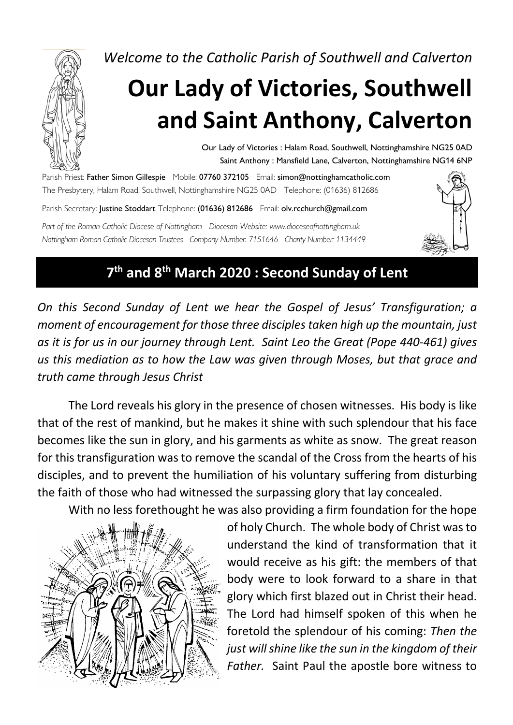*Welcome to the Catholic Parish of Southwell and Calverton*

# **Our Lady of Victories, Southwell and Saint Anthony, Calverton**

Our Lady of Victories : Halam Road, Southwell, Nottinghamshire NG25 0AD Saint Anthony : Mansfield Lane, Calverton, Nottinghamshire NG14 6NP

Parish Priest: Father Simon Gillespie Mobile: 07760 372105 Email: simon@nottinghamcatholic.com The Presbytery, Halam Road, Southwell, Nottinghamshire NG25 0AD Telephone: (01636) 812686

Parish Secretary: Justine Stoddart Telephone: (01636) 812686 Email: olv.rcchurch@gmail.com

*Part of the Roman Catholic Diocese of Nottingham Diocesan Website: www.dioceseofnottingham.uk Nottingham Roman Catholic Diocesan Trustees Company Number: 7151646 Charity Number: 1134449*



#### **7th and 8th March 2020 : Second Sunday of Lent**

*On this Second Sunday of Lent we hear the Gospel of Jesus' Transfiguration; a moment of encouragement for those three disciples taken high up the mountain, just as it is for us in our journey through Lent. Saint Leo the Great (Pope 440-461) gives us this mediation as to how the Law was given through Moses, but that grace and truth came through Jesus Christ*

The Lord reveals his glory in the presence of chosen witnesses. His body is like that of the rest of mankind, but he makes it shine with such splendour that his face becomes like the sun in glory, and his garments as white as snow. The great reason for this transfiguration was to remove the scandal of the Cross from the hearts of his disciples, and to prevent the humiliation of his voluntary suffering from disturbing the faith of those who had witnessed the surpassing glory that lay concealed.

With no less forethought he was also providing a firm foundation for the hope



of holy Church. The whole body of Christ was to understand the kind of transformation that it would receive as his gift: the members of that body were to look forward to a share in that glory which first blazed out in Christ their head. The Lord had himself spoken of this when he foretold the splendour of his coming: *Then the just will shine like the sun in the kingdom of their Father.* Saint Paul the apostle bore witness to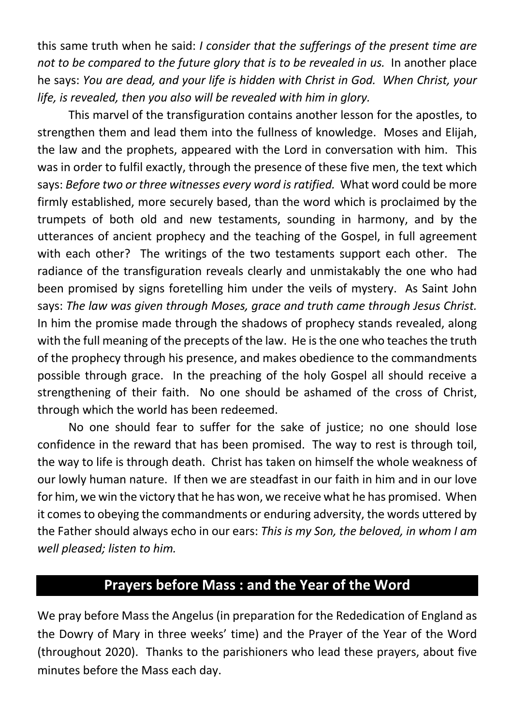this same truth when he said: *I consider that the sufferings of the present time are*  not to be compared to the future glory that is to be revealed in us. In another place he says: *You are dead, and your life is hidden with Christ in God. When Christ, your life, is revealed, then you also will be revealed with him in glory.*

This marvel of the transfiguration contains another lesson for the apostles, to strengthen them and lead them into the fullness of knowledge. Moses and Elijah, the law and the prophets, appeared with the Lord in conversation with him. This was in order to fulfil exactly, through the presence of these five men, the text which says: *Before two or three witnesses every word is ratified.* What word could be more firmly established, more securely based, than the word which is proclaimed by the trumpets of both old and new testaments, sounding in harmony, and by the utterances of ancient prophecy and the teaching of the Gospel, in full agreement with each other? The writings of the two testaments support each other. The radiance of the transfiguration reveals clearly and unmistakably the one who had been promised by signs foretelling him under the veils of mystery. As Saint John says: *The law was given through Moses, grace and truth came through Jesus Christ.* In him the promise made through the shadows of prophecy stands revealed, along with the full meaning of the precepts of the law. He is the one who teaches the truth of the prophecy through his presence, and makes obedience to the commandments possible through grace. In the preaching of the holy Gospel all should receive a strengthening of their faith. No one should be ashamed of the cross of Christ, through which the world has been redeemed.

No one should fear to suffer for the sake of justice; no one should lose confidence in the reward that has been promised. The way to rest is through toil, the way to life is through death. Christ has taken on himself the whole weakness of our lowly human nature. If then we are steadfast in our faith in him and in our love for him, we win the victory that he has won, we receive what he has promised. When it comes to obeying the commandments or enduring adversity, the words uttered by the Father should always echo in our ears: *This is my Son, the beloved, in whom I am well pleased; listen to him.*

## **Prayers before Mass : and the Year of the Word**

We pray before Mass the Angelus (in preparation for the Rededication of England as the Dowry of Mary in three weeks' time) and the Prayer of the Year of the Word (throughout 2020). Thanks to the parishioners who lead these prayers, about five minutes before the Mass each day.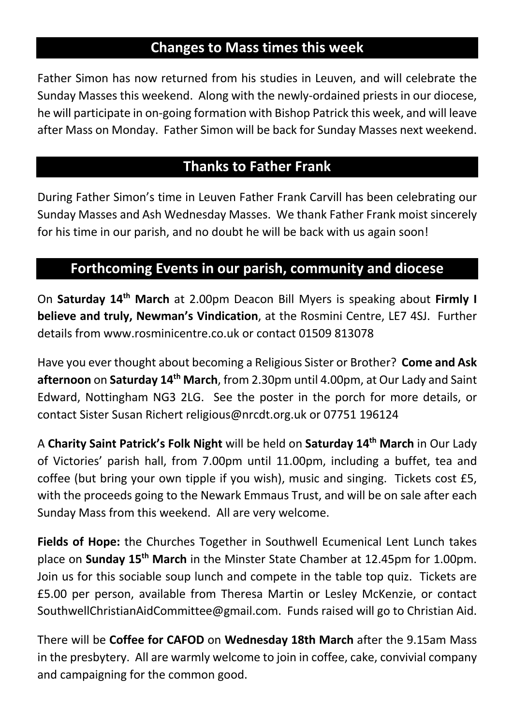#### **Changes to Mass times this week**

Father Simon has now returned from his studies in Leuven, and will celebrate the Sunday Masses this weekend. Along with the newly-ordained priests in our diocese, he will participate in on-going formation with Bishop Patrick this week, and will leave after Mass on Monday. Father Simon will be back for Sunday Masses next weekend.

#### **Thanks to Father Frank**

During Father Simon's time in Leuven Father Frank Carvill has been celebrating our Sunday Masses and Ash Wednesday Masses. We thank Father Frank moist sincerely for his time in our parish, and no doubt he will be back with us again soon!

#### **Forthcoming Events in our parish, community and diocese**

On **Saturday 14th March** at 2.00pm Deacon Bill Myers is speaking about **Firmly I believe and truly, Newman's Vindication**, at the Rosmini Centre, LE7 4SJ. Further details from www.rosminicentre.co.uk or contact 01509 813078

Have you ever thought about becoming a Religious Sister or Brother? **Come and Ask afternoon** on **Saturday 14th March**, from 2.30pm until 4.00pm, at Our Lady and Saint Edward, Nottingham NG3 2LG. See the poster in the porch for more details, or contact Sister Susan Richert religious@nrcdt.org.uk or 07751 196124

A **Charity Saint Patrick's Folk Night** will be held on **Saturday 14th March** in Our Lady of Victories' parish hall, from 7.00pm until 11.00pm, including a buffet, tea and coffee (but bring your own tipple if you wish), music and singing. Tickets cost £5, with the proceeds going to the Newark Emmaus Trust, and will be on sale after each Sunday Mass from this weekend. All are very welcome.

**Fields of Hope:** the Churches Together in Southwell Ecumenical Lent Lunch takes place on **Sunday 15th March** in the Minster State Chamber at 12.45pm for 1.00pm. Join us for this sociable soup lunch and compete in the table top quiz. Tickets are £5.00 per person, available from Theresa Martin or Lesley McKenzie, or contact SouthwellChristianAidCommittee@gmail.com. Funds raised will go to Christian Aid.

There will be **Coffee for CAFOD** on **Wednesday 18th March** after the 9.15am Mass in the presbytery. All are warmly welcome to join in coffee, cake, convivial company and campaigning for the common good.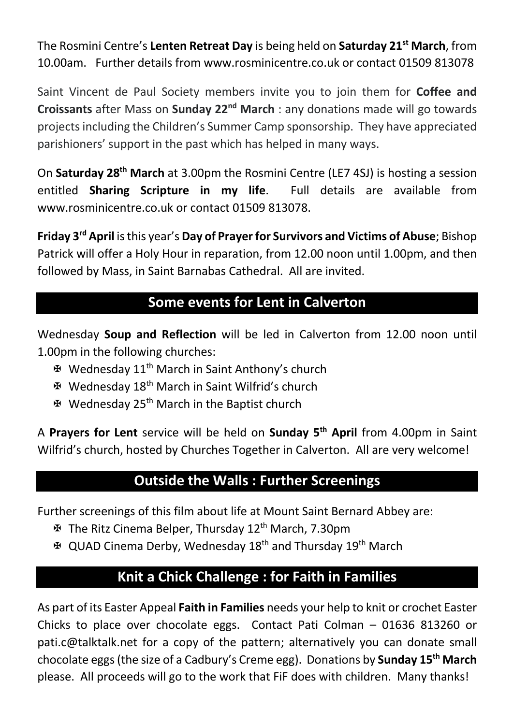The Rosmini Centre's **Lenten Retreat Day** is being held on **Saturday 21st March**, from 10.00am. Further details from www.rosminicentre.co.uk or contact 01509 813078

Saint Vincent de Paul Society members invite you to join them for **Coffee and Croissants** after Mass on **Sunday 22nd March** : any donations made will go towards projects including the Children's Summer Camp sponsorship. They have appreciated parishioners' support in the past which has helped in many ways.

On **Saturday 28th March** at 3.00pm the Rosmini Centre (LE7 4SJ) is hosting a session entitled **Sharing Scripture in my life**. Full details are available from www.rosminicentre.co.uk or contact 01509 813078.

**Friday 3rd April** is this year's **Day of Prayer for Survivors and Victims of Abuse**; Bishop Patrick will offer a Holy Hour in reparation, from 12.00 noon until 1.00pm, and then followed by Mass, in Saint Barnabas Cathedral. All are invited.

#### **Some events for Lent in Calverton**

Wednesday **Soup and Reflection** will be led in Calverton from 12.00 noon until 1.00pm in the following churches:

- X Wednesday 11th March in Saint Anthony's church
- X Wednesday 18th March in Saint Wilfrid's church
- X Wednesday 25th March in the Baptist church

A **Prayers for Lent** service will be held on **Sunday 5th April** from 4.00pm in Saint Wilfrid's church, hosted by Churches Together in Calverton. All are very welcome!

#### **Outside the Walls : Further Screenings**

Further screenings of this film about life at Mount Saint Bernard Abbey are:

- X The Ritz Cinema Belper, Thursday 12th March, 7.30pm
- X QUAD Cinema Derby, Wednesday 18th and Thursday 19th March

## **Knit a Chick Challenge : for Faith in Families**

As part of its Easter Appeal **Faith in Families** needs your help to knit or crochet Easter Chicks to place over chocolate eggs. Contact Pati Colman – 01636 813260 or pati.c@talktalk.net for a copy of the pattern; alternatively you can donate small chocolate eggs(the size of a Cadbury's Creme egg). Donations by **Sunday 15th March** please. All proceeds will go to the work that FiF does with children. Many thanks!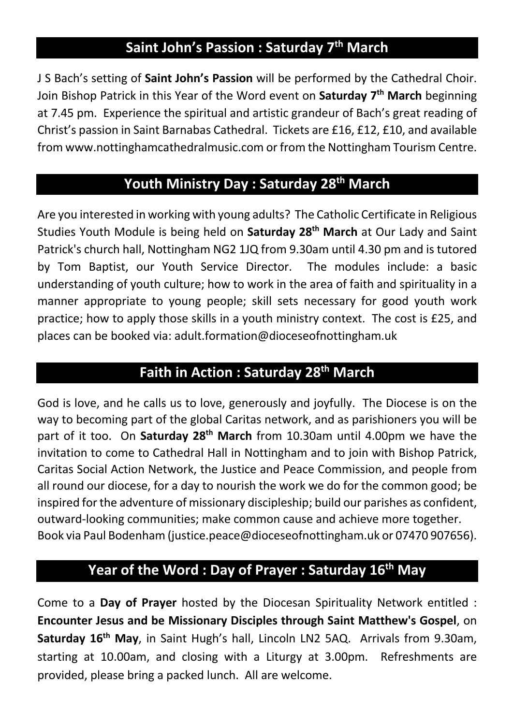## **Saint John's Passion : Saturday 7th March**

J S Bach's setting of **Saint John's Passion** will be performed by the Cathedral Choir. Join Bishop Patrick in this Year of the Word event on **Saturday 7th March** beginning at 7.45 pm. Experience the spiritual and artistic grandeur of Bach's great reading of Christ's passion in Saint Barnabas Cathedral. Tickets are £16, £12, £10, and available from www.nottinghamcathedralmusic.com or from the Nottingham Tourism Centre.

#### **Youth Ministry Day : Saturday 28th March**

Are you interested in working with young adults? The Catholic Certificate in Religious Studies Youth Module is being held on **Saturday 28th March** at Our Lady and Saint Patrick's church hall, Nottingham NG2 1JQ from 9.30am until 4.30 pm and is tutored by Tom Baptist, our Youth Service Director. The modules include: a basic understanding of youth culture; how to work in the area of faith and spirituality in a manner appropriate to young people; skill sets necessary for good youth work practice; how to apply those skills in a youth ministry context. The cost is £25, and places can be booked via: adult.formation@dioceseofnottingham.uk

#### **Faith in Action : Saturday 28th March**

God is love, and he calls us to love, generously and joyfully. The Diocese is on the way to becoming part of the global Caritas network, and as parishioners you will be part of it too. On **Saturday 28th March** from 10.30am until 4.00pm we have the invitation to come to Cathedral Hall in Nottingham and to join with Bishop Patrick, Caritas Social Action Network, the Justice and Peace Commission, and people from all round our diocese, for a day to nourish the work we do for the common good; be inspired for the adventure of missionary discipleship; build our parishes as confident, outward-looking communities; make common cause and achieve more together. Book via Paul Bodenham (justice.peace@dioceseofnottingham.uk or 07470 907656).

#### **Year of the Word : Day of Prayer : Saturday 16th May**

Come to a **Day of Prayer** hosted by the Diocesan Spirituality Network entitled : **Encounter Jesus and be Missionary Disciples through Saint Matthew's Gospel**, on **Saturday 16th May**, in Saint Hugh's hall, Lincoln LN2 5AQ. Arrivals from 9.30am, starting at 10.00am, and closing with a Liturgy at 3.00pm. Refreshments are provided, please bring a packed lunch. All are welcome.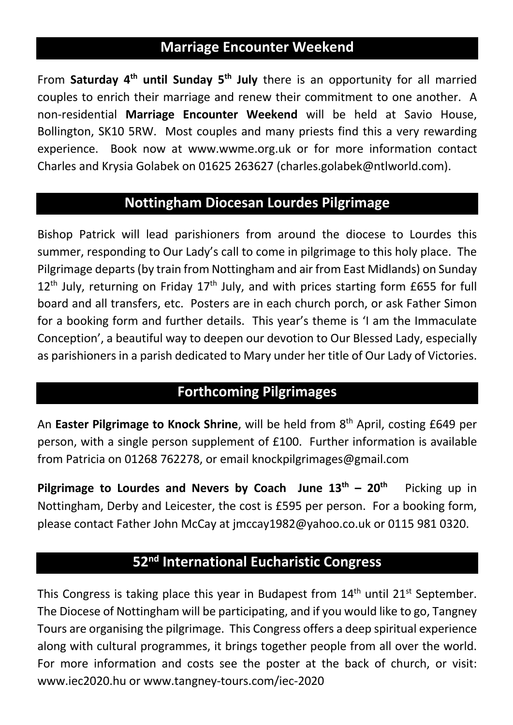## **Marriage Encounter Weekend**

From **Saturday 4th until Sunday 5th July** there is an opportunity for all married couples to enrich their marriage and renew their commitment to one another. A non-residential **Marriage Encounter Weekend** will be held at Savio House, Bollington, SK10 5RW. Most couples and many priests find this a very rewarding experience. Book now at www.wwme.org.uk or for more information contact Charles and Krysia Golabek on 01625 263627 (charles.golabek@ntlworld.com).

#### **Nottingham Diocesan Lourdes Pilgrimage**

Bishop Patrick will lead parishioners from around the diocese to Lourdes this summer, responding to Our Lady's call to come in pilgrimage to this holy place. The Pilgrimage departs (by train from Nottingham and air from East Midlands) on Sunday  $12<sup>th</sup>$  July, returning on Friday  $17<sup>th</sup>$  July, and with prices starting form £655 for full board and all transfers, etc. Posters are in each church porch, or ask Father Simon for a booking form and further details. This year's theme is 'I am the Immaculate Conception', a beautiful way to deepen our devotion to Our Blessed Lady, especially as parishioners in a parish dedicated to Mary under her title of Our Lady of Victories.

#### **Forthcoming Pilgrimages**

An **Easter Pilgrimage to Knock Shrine**, will be held from 8th April, costing £649 per person, with a single person supplement of £100. Further information is available from Patricia on 01268 762278, or email knockpilgrimages@gmail.com

**Pilgrimage to Lourdes and Nevers by Coach June**  $13<sup>th</sup> - 20<sup>th</sup>$  **Picking up in** Nottingham, Derby and Leicester, the cost is £595 per person. For a booking form, please contact Father John McCay at jmccay1982@yahoo.co.uk or 0115 981 0320.

#### **52nd International Eucharistic Congress**

This Congress is taking place this year in Budapest from  $14<sup>th</sup>$  until  $21<sup>st</sup>$  September. The Diocese of Nottingham will be participating, and if you would like to go, Tangney Tours are organising the pilgrimage. This Congress offers a deep spiritual experience along with cultural programmes, it brings together people from all over the world. For more information and costs see the poster at the back of church, or visit: www.iec2020.hu or www.tangney-tours.com/iec-2020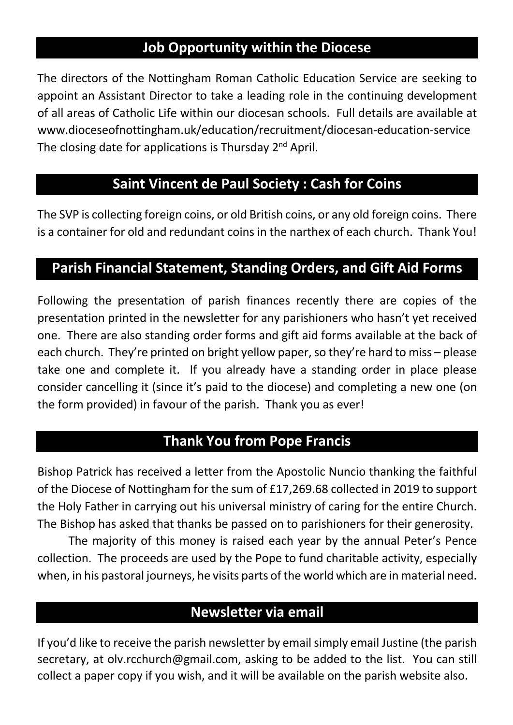#### **Job Opportunity within the Diocese**

The directors of the Nottingham Roman Catholic Education Service are seeking to appoint an Assistant Director to take a leading role in the continuing development of all areas of Catholic Life within our diocesan schools. Full details are available at www.dioceseofnottingham.uk/education/recruitment/diocesan-education-service The closing date for applications is Thursday  $2^{nd}$  April.

#### **Saint Vincent de Paul Society : Cash for Coins**

The SVP is collecting foreign coins, or old British coins, or any old foreign coins. There is a container for old and redundant coins in the narthex of each church. Thank You!

#### **Parish Financial Statement, Standing Orders, and Gift Aid Forms**

Following the presentation of parish finances recently there are copies of the presentation printed in the newsletter for any parishioners who hasn't yet received one. There are also standing order forms and gift aid forms available at the back of each church. They're printed on bright yellow paper, so they're hard to miss – please take one and complete it. If you already have a standing order in place please consider cancelling it (since it's paid to the diocese) and completing a new one (on the form provided) in favour of the parish. Thank you as ever!

#### **Thank You from Pope Francis**

Bishop Patrick has received a letter from the Apostolic Nuncio thanking the faithful of the Diocese of Nottingham for the sum of £17,269.68 collected in 2019 to support the Holy Father in carrying out his universal ministry of caring for the entire Church. The Bishop has asked that thanks be passed on to parishioners for their generosity.

The majority of this money is raised each year by the annual Peter's Pence collection. The proceeds are used by the Pope to fund charitable activity, especially when, in his pastoral journeys, he visits parts of the world which are in material need.

#### **Newsletter via email**

If you'd like to receive the parish newsletter by email simply email Justine (the parish secretary, at olv.rcchurch@gmail.com, asking to be added to the list. You can still collect a paper copy if you wish, and it will be available on the parish website also.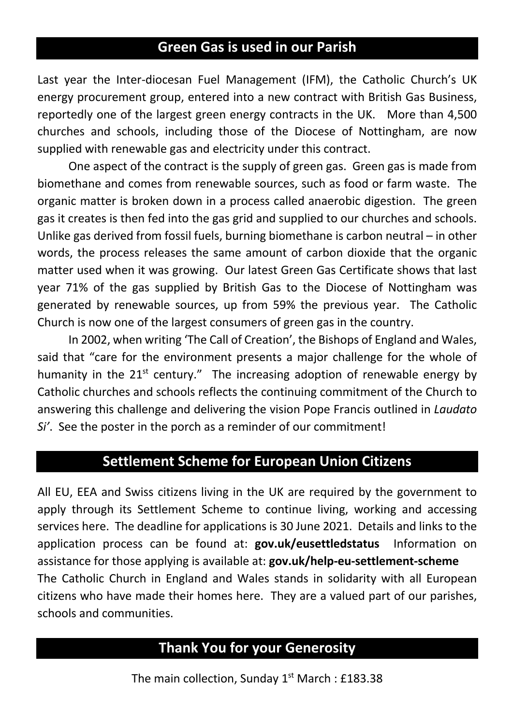#### **Green Gas is used in our Parish**

Last year the Inter-diocesan Fuel Management (IFM), the Catholic Church's UK energy procurement group, entered into a new contract with British Gas Business, reportedly one of the largest green energy contracts in the UK. More than 4,500 churches and schools, including those of the Diocese of Nottingham, are now supplied with renewable gas and electricity under this contract.

One aspect of the contract is the supply of green gas. Green gas is made from biomethane and comes from renewable sources, such as food or farm waste. The organic matter is broken down in a process called anaerobic digestion. The green gas it creates is then fed into the gas grid and supplied to our churches and schools. Unlike gas derived from fossil fuels, burning biomethane is carbon neutral – in other words, the process releases the same amount of carbon dioxide that the organic matter used when it was growing. Our latest Green Gas Certificate shows that last year 71% of the gas supplied by British Gas to the Diocese of Nottingham was generated by renewable sources, up from 59% the previous year. The Catholic Church is now one of the largest consumers of green gas in the country.

In 2002, when writing 'The Call of Creation', the Bishops of England and Wales, said that "care for the environment presents a major challenge for the whole of humanity in the  $21^{st}$  century." The increasing adoption of renewable energy by Catholic churches and schools reflects the continuing commitment of the Church to answering this challenge and delivering the vision Pope Francis outlined in *Laudato Si'*. See the poster in the porch as a reminder of our commitment!

#### **Settlement Scheme for European Union Citizens**

All EU, EEA and Swiss citizens living in the UK are required by the government to apply through its Settlement Scheme to continue living, working and accessing services here. The deadline for applications is 30 June 2021. Details and links to the application process can be found at: **gov.uk/eusettledstatus** Information on assistance for those applying is available at: **gov.uk/help-eu-settlement-scheme** The Catholic Church in England and Wales stands in solidarity with all European citizens who have made their homes here. They are a valued part of our parishes, schools and communities.

#### **Thank You for your Generosity**

The main collection, Sunday  $1<sup>st</sup>$  March : £183.38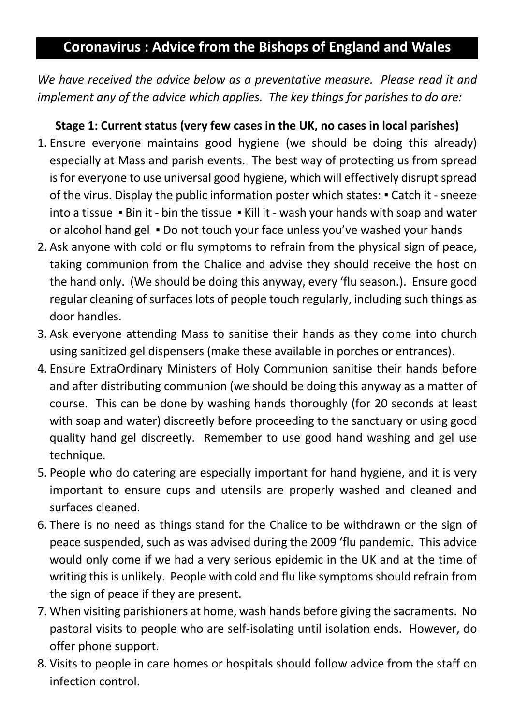#### **Coronavirus : Advice from the Bishops of England and Wales**

*We have received the advice below as a preventative measure. Please read it and implement any of the advice which applies. The key things for parishes to do are:*

#### **Stage 1: Current status (very few cases in the UK, no cases in local parishes)**

- 1. Ensure everyone maintains good hygiene (we should be doing this already) especially at Mass and parish events. The best way of protecting us from spread is for everyone to use universal good hygiene, which will effectively disrupt spread of the virus. Display the public information poster which states: ▪ Catch it - sneeze into a tissue • Bin it - bin the tissue • Kill it - wash your hands with soap and water or alcohol hand gel ▪ Do not touch your face unless you've washed your hands
- 2. Ask anyone with cold or flu symptoms to refrain from the physical sign of peace, taking communion from the Chalice and advise they should receive the host on the hand only. (We should be doing this anyway, every 'flu season.). Ensure good regular cleaning of surfaces lots of people touch regularly, including such things as door handles.
- 3. Ask everyone attending Mass to sanitise their hands as they come into church using sanitized gel dispensers (make these available in porches or entrances).
- 4. Ensure ExtraOrdinary Ministers of Holy Communion sanitise their hands before and after distributing communion (we should be doing this anyway as a matter of course. This can be done by washing hands thoroughly (for 20 seconds at least with soap and water) discreetly before proceeding to the sanctuary or using good quality hand gel discreetly. Remember to use good hand washing and gel use technique.
- 5. People who do catering are especially important for hand hygiene, and it is very important to ensure cups and utensils are properly washed and cleaned and surfaces cleaned.
- 6. There is no need as things stand for the Chalice to be withdrawn or the sign of peace suspended, such as was advised during the 2009 'flu pandemic. This advice would only come if we had a very serious epidemic in the UK and at the time of writing this is unlikely. People with cold and flu like symptoms should refrain from the sign of peace if they are present.
- 7. When visiting parishioners at home, wash hands before giving the sacraments. No pastoral visits to people who are self-isolating until isolation ends. However, do offer phone support.
- 8. Visits to people in care homes or hospitals should follow advice from the staff on infection control.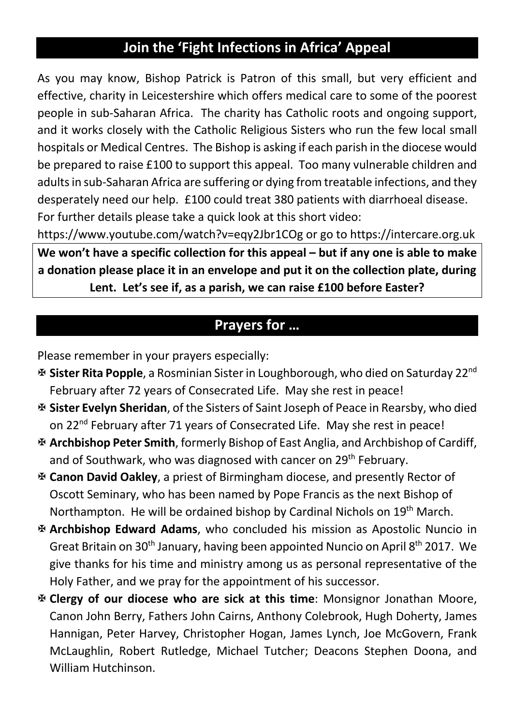# **Join the 'Fight Infections in Africa' Appeal**

As you may know, Bishop Patrick is Patron of this small, but very efficient and effective, charity in Leicestershire which offers medical care to some of the poorest people in sub-Saharan Africa. The charity has Catholic roots and ongoing support, and it works closely with the Catholic Religious Sisters who run the few local small hospitals or Medical Centres. The Bishop is asking if each parish in the diocese would be prepared to raise £100 to support this appeal. Too many vulnerable children and adults in sub-Saharan Africa are suffering or dying from treatable infections, and they desperately need our help. £100 could treat 380 patients with diarrhoeal disease. For further details please take a quick look at this short video:

https://www.youtube.com/watch?v=eqy2Jbr1COg or go to https://intercare.org.uk

**We won't have a specific collection for this appeal – but if any one is able to make a donation please place it in an envelope and put it on the collection plate, during Lent. Let's see if, as a parish, we can raise £100 before Easter?**

#### **Prayers for …**

Please remember in your prayers especially:

- X **Sister Rita Popple**, a Rosminian Sister in Loughborough, who died on Saturday 22nd February after 72 years of Consecrated Life. May she rest in peace!
- X **Sister Evelyn Sheridan**, of the Sisters of Saint Joseph of Peace in Rearsby, who died on 22<sup>nd</sup> February after 71 years of Consecrated Life. May she rest in peace!
- X **Archbishop Peter Smith**, formerly Bishop of East Anglia, and Archbishop of Cardiff, and of Southwark, who was diagnosed with cancer on 29<sup>th</sup> February.
- X **Canon David Oakley**, a priest of Birmingham diocese, and presently Rector of Oscott Seminary, who has been named by Pope Francis as the next Bishop of Northampton. He will be ordained bishop by Cardinal Nichols on 19<sup>th</sup> March.
- X **Archbishop Edward Adams**, who concluded his mission as Apostolic Nuncio in Great Britain on 30<sup>th</sup> January, having been appointed Nuncio on April 8<sup>th</sup> 2017. We give thanks for his time and ministry among us as personal representative of the Holy Father, and we pray for the appointment of his successor.
- X **Clergy of our diocese who are sick at this time**: Monsignor Jonathan Moore, Canon John Berry, Fathers John Cairns, Anthony Colebrook, Hugh Doherty, James Hannigan, Peter Harvey, Christopher Hogan, James Lynch, Joe McGovern, Frank McLaughlin, Robert Rutledge, Michael Tutcher; Deacons Stephen Doona, and William Hutchinson.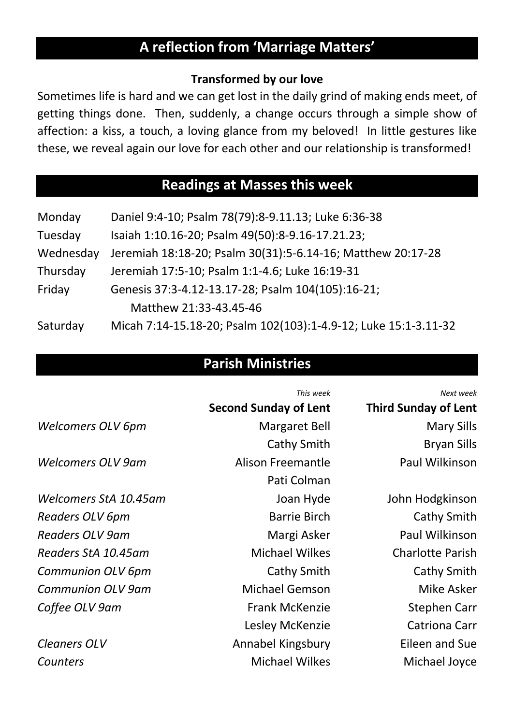# **A reflection from 'Marriage Matters'**

#### **Transformed by our love**

Sometimes life is hard and we can get lost in the daily grind of making ends meet, of getting things done. Then, suddenly, a change occurs through a simple show of affection: a kiss, a touch, a loving glance from my beloved! In little gestures like these, we reveal again our love for each other and our relationship is transformed!

#### **Readings at Masses this week**

| Monday    | Daniel 9:4-10; Psalm 78(79):8-9.11.13; Luke 6:36-38             |  |  |
|-----------|-----------------------------------------------------------------|--|--|
| Tuesday   | Isaiah 1:10.16-20; Psalm 49(50):8-9.16-17.21.23;                |  |  |
| Wednesday | Jeremiah 18:18-20; Psalm 30(31):5-6.14-16; Matthew 20:17-28     |  |  |
| Thursday  | Jeremiah 17:5-10; Psalm 1:1-4.6; Luke 16:19-31                  |  |  |
| Friday    | Genesis 37:3-4.12-13.17-28; Psalm 104(105):16-21;               |  |  |
|           | Matthew 21:33-43.45-46                                          |  |  |
| Saturday  | Micah 7:14-15.18-20; Psalm 102(103):1-4.9-12; Luke 15:1-3.11-32 |  |  |

#### **Parish Ministries**

*This week Next week*

|                          | <b>Second Sunday of Lent</b> | <b>Third Sunday of Lent</b> |
|--------------------------|------------------------------|-----------------------------|
| <b>Welcomers OLV 6pm</b> | <b>Margaret Bell</b>         | <b>Mary Sills</b>           |
|                          | Cathy Smith                  | <b>Bryan Sills</b>          |
| <b>Welcomers OLV 9am</b> | Alison Freemantle            | Paul Wilkinson              |
|                          | Pati Colman                  |                             |
| Welcomers StA 10.45am    | Joan Hyde                    | John Hodgkinson             |
| Readers OLV 6pm          | <b>Barrie Birch</b>          | Cathy Smith                 |
| <b>Readers OLV 9am</b>   | Margi Asker                  | Paul Wilkinson              |
| Readers StA 10.45am      | <b>Michael Wilkes</b>        | <b>Charlotte Parish</b>     |
| <b>Communion OLV 6pm</b> | Cathy Smith                  | Cathy Smith                 |
| <b>Communion OLV 9am</b> | <b>Michael Gemson</b>        | Mike Asker                  |
| Coffee OLV 9am           | <b>Frank McKenzie</b>        | Stephen Carr                |
|                          | Lesley McKenzie              | <b>Catriona Carr</b>        |
| <b>Cleaners OLV</b>      | Annabel Kingsbury            | Eileen and Sue              |
| Counters                 | <b>Michael Wilkes</b>        | Michael Joyce               |